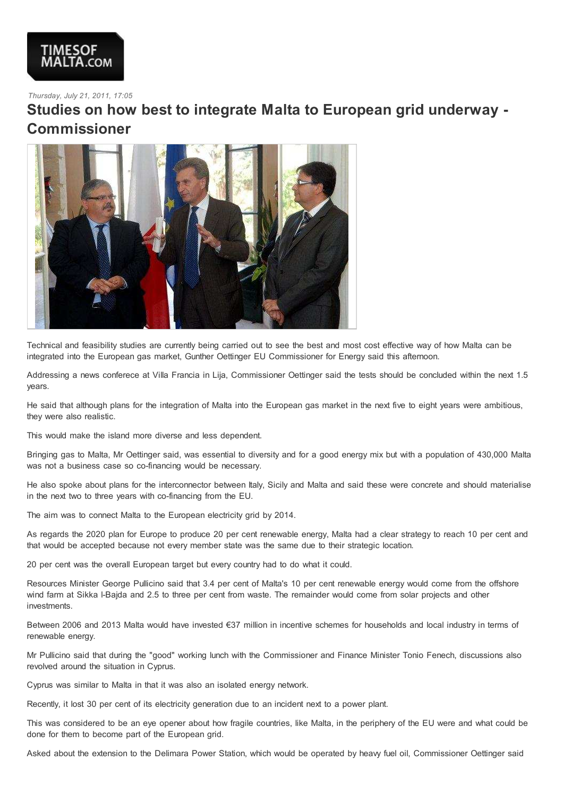

## *Thursday, July 21, 2011, 17:05*

## **Studies on how best to integrate Malta to European grid underway - Commissioner**



Technical and feasibility studies are currently being carried out to see the best and most cost effective way of how Malta can be integrated into the European gas market, Gunther Oettinger EU Commissioner for Energy said this afternoon.

Addressing a news conferece at Villa Francia in Lija, Commissioner Oettinger said the tests should be concluded within the next 1.5 years.

He said that although plans for the integration of Malta into the European gas market in the next five to eight years were ambitious, they were also realistic.

This would make the island more diverse and less dependent.

Bringing gas to Malta, Mr Oettinger said, was essential to diversity and for a good energy mix but with a population of 430,000 Malta was not a business case so co-financing would be necessary.

He also spoke about plans for the interconnector between Italy, Sicily and Malta and said these were concrete and should materialise in the next two to three years with co-financing from the EU.

The aim was to connect Malta to the European electricity grid by 2014.

As regards the 2020 plan for Europe to produce 20 per cent renewable energy, Malta had a clear strategy to reach 10 per cent and that would be accepted because not every member state was the same due to their strategic location.

20 per cent was the overall European target but every country had to do what it could.

Resources Minister George Pullicino said that 3.4 per cent of Malta's 10 per cent renewable energy would come from the offshore wind farm at Sikka l-Bajda and 2.5 to three per cent from waste. The remainder would come from solar projects and other investments.

Between 2006 and 2013 Malta would have invested €37 million in incentive schemes for households and local industry in terms of renewable energy.

Mr Pullicino said that during the "good" working lunch with the Commissioner and Finance Minister Tonio Fenech, discussions also revolved around the situation in Cyprus.

Cyprus was similar to Malta in that it was also an isolated energy network.

Recently, it lost 30 per cent of its electricity generation due to an incident next to a power plant.

This was considered to be an eye opener about how fragile countries, like Malta, in the periphery of the EU were and what could be done for them to become part of the European grid.

Asked about the extension to the Delimara Power Station, which would be operated by heavy fuel oil, Commissioner Oettinger said